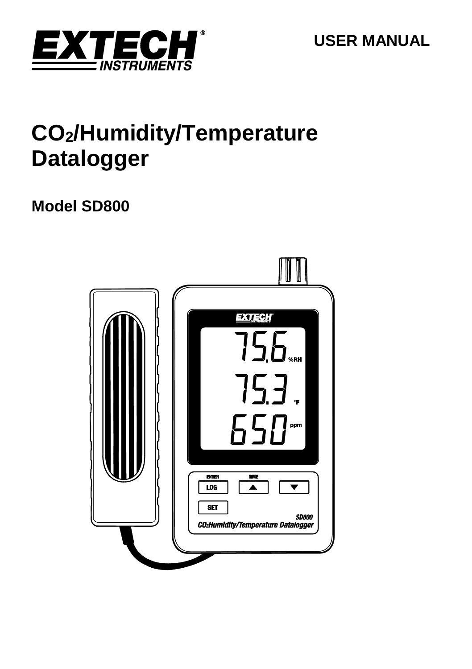

# **CO2/Humidity/Temperature Datalogger**

# **Model SD800**

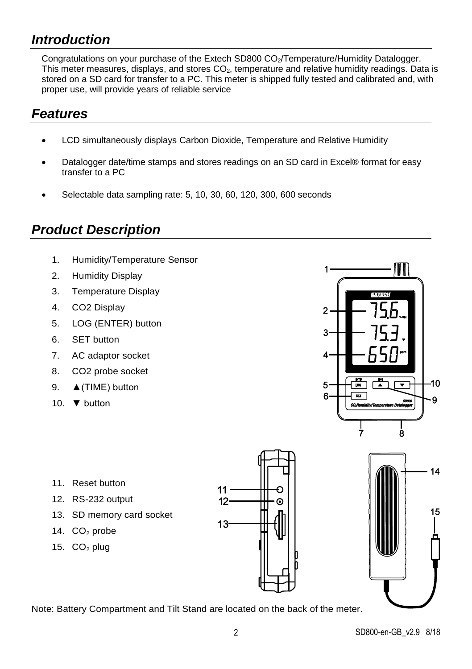# *Introduction*

Congratulations on your purchase of the Extech SD800 CO<sub>2</sub>/Temperature/Humidity Datalogger. This meter measures, displays, and stores CO<sub>2</sub>, temperature and relative humidity readings. Data is stored on a SD card for transfer to a PC. This meter is shipped fully tested and calibrated and, with proper use, will provide years of reliable service

# *Features*

- LCD simultaneously displays Carbon Dioxide, Temperature and Relative Humidity
- Datalogger date/time stamps and stores readings on an SD card in Excel® format for easy transfer to a PC
- Selectable data sampling rate: 5, 10, 30, 60, 120, 300, 600 seconds

# *Product Description*

- 1. Humidity/Temperature Sensor
- 2. Humidity Display
- 3. Temperature Display
- 4. CO2 Display
- 5. LOG (ENTER) button
- 6. SET button
- 7. AC adaptor socket
- 8. CO2 probe socket
- 9. **▲(TIME)** button
- 10. ▼ button



- 11. Reset button
- 12. RS-232 output
- 13. SD memory card socket
- 14.  $CO<sub>2</sub>$  probe
- 15.  $CO<sub>2</sub>$  plug





Note: Battery Compartment and Tilt Stand are located on the back of the meter.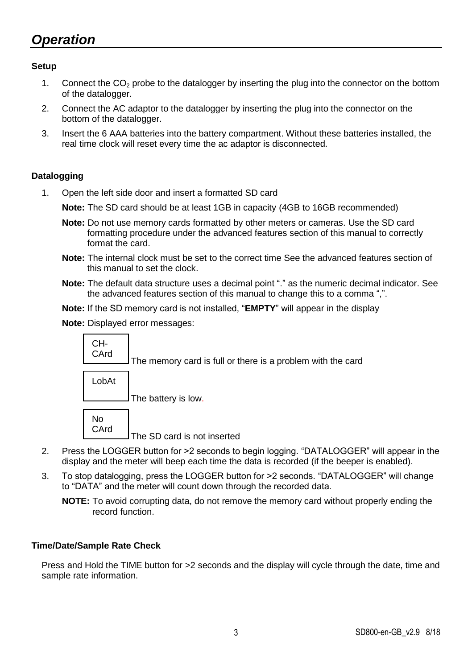# *Operation*

#### **Setup**

- 1. Connect the  $CO<sub>2</sub>$  probe to the datalogger by inserting the plug into the connector on the bottom of the datalogger.
- 2. Connect the AC adaptor to the datalogger by inserting the plug into the connector on the bottom of the datalogger.
- 3. Insert the 6 AAA batteries into the battery compartment. Without these batteries installed, the real time clock will reset every time the ac adaptor is disconnected.

#### **Datalogging**

1. Open the left side door and insert a formatted SD card

**Note:** The SD card should be at least 1GB in capacity (4GB to 16GB recommended)

- **Note:** Do not use memory cards formatted by other meters or cameras. Use the SD card formatting procedure under the advanced features section of this manual to correctly format the card.
- **Note:** The internal clock must be set to the correct time See the advanced features section of this manual to set the clock.
- **Note:** The default data structure uses a decimal point "." as the numeric decimal indicator. See the advanced features section of this manual to change this to a comma ",".
- **Note:** If the SD memory card is not installed, "**EMPTY**" will appear in the display

**Note:** Displayed error messages:

The memory card is full or there is a problem with the card The battery is low. The SD card is not inserted No **CArd** LobAt CH-**CArd** 

- 2. Press the LOGGER button for >2 seconds to begin logging. "DATALOGGER" will appear in the display and the meter will beep each time the data is recorded (if the beeper is enabled).
- 3. To stop datalogging, press the LOGGER button for >2 seconds. "DATALOGGER" will change to "DATA" and the meter will count down through the recorded data.
	- **NOTE:** To avoid corrupting data, do not remove the memory card without properly ending the record function.

#### **Time/Date/Sample Rate Check**

Press and Hold the TIME button for >2 seconds and the display will cycle through the date, time and sample rate information.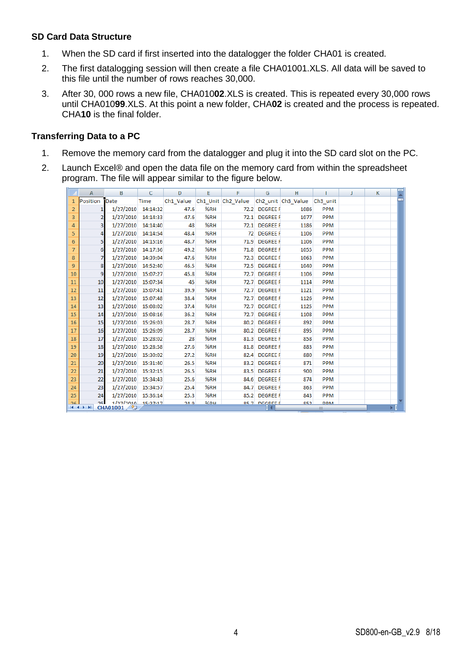#### **SD Card Data Structure**

- 1. When the SD card if first inserted into the datalogger the folder CHA01 is created.
- 2. The first datalogging session will then create a file CHA01001.XLS. All data will be saved to this file until the number of rows reaches 30,000.
- 3. After 30, 000 rows a new file, CHA010**02**.XLS is created. This is repeated every 30,000 rows until CHA010**99**.XLS. At this point a new folder, CHA**02** is created and the process is repeated. CHA**10** is the final folder.

#### **Transferring Data to a PC**

- 1. Remove the memory card from the datalogger and plug it into the SD card slot on the PC.
- 2. Launch Excel® and open the data file on the memory card from within the spreadsheet program. The file will appear similar to the figure below.

|                | A                        | в                                  | C           | D    | E       | F                                                        | G                    | н    |            | K |  |
|----------------|--------------------------|------------------------------------|-------------|------|---------|----------------------------------------------------------|----------------------|------|------------|---|--|
| 1              | Position Date            |                                    | <b>Time</b> |      |         | Ch1 Value Ch1 Unit Ch2 Value Ch2 unit Ch3 Value Ch3 unit |                      |      |            |   |  |
| $\overline{2}$ |                          | 1/27/2010                          | 14:14:32    | 47.6 | %RH     |                                                          | 72.2 DEGREE F        | 1086 | <b>PPM</b> |   |  |
| 3              |                          | 1/27/2010                          | 14:14:33    | 47.6 | %RH     |                                                          | 72.1 DEGREE F        | 1077 | <b>PPM</b> |   |  |
| 4              |                          | 1/27/2010                          | 14:14:40    | 48   | %RH     |                                                          | 72.1 DEGREE F        | 1186 | <b>PPM</b> |   |  |
| 5              | 4                        | 1/27/2010                          | 14:14:54    | 48.4 | %RH     |                                                          | 72 DEGREE F          | 1106 | <b>PPM</b> |   |  |
| 6              | 5                        | 1/27/2010                          | 14:15:16    | 48.7 | %RH     | 71.9                                                     | <b>DEGREE F</b>      | 1106 | <b>PPM</b> |   |  |
| $\overline{7}$ | 6                        | 1/27/2010                          | 14:17:36    | 49.2 | %RH     |                                                          | 71.8 DEGREE F        | 1055 | <b>PPM</b> |   |  |
| 8              |                          | 1/27/2010                          | 14:39:04    | 47.6 | %RH     | 72.3                                                     | <b>DEGREE F</b>      | 1063 | <b>PPM</b> |   |  |
| $\overline{9}$ | 8                        | 1/27/2010                          | 14:52:40    | 46.5 | %RH     | 72.5                                                     | <b>DEGREE F</b>      | 1040 | <b>PPM</b> |   |  |
| 10             | 9                        | 1/27/2010                          | 15:07:27    | 45.8 | %RH     |                                                          | 72.7 DEGREE F        | 1106 | <b>PPM</b> |   |  |
| 11             | 10                       | 1/27/2010                          | 15:07:34    | 45   | %RH     | 72.7                                                     | <b>DEGREE F</b>      | 1114 | <b>PPM</b> |   |  |
| 12             | 11                       | 1/27/2010                          | 15:07:41    | 39.9 | %RH     | 72.7                                                     | <b>DEGREE F</b>      | 1121 | <b>PPM</b> |   |  |
| 13             | 12                       | 1/27/2010                          | 15:07:48    | 38.4 | %RH     |                                                          | 72.7 DEGREE F        | 1126 | <b>PPM</b> |   |  |
| 14             | 13                       | 1/27/2010                          | 15:08:02    | 37.4 | %RH     | 72.7                                                     | <b>DEGREE F</b>      | 1125 | <b>PPM</b> |   |  |
| 15             | 14                       | 1/27/2010                          | 15:08:16    | 36.2 | %RH     | 72.7                                                     | <b>DEGREE F</b>      | 1108 | <b>PPM</b> |   |  |
| 16             | 15                       | 1/27/2010                          | 15:26:03    | 28.7 | %RH     |                                                          | 80.2 DEGREE F        | 892  | <b>PPM</b> |   |  |
| 17             | 16                       | 1/27/2010                          | 15:26:09    | 28.7 | %RH     | 80.2                                                     | <b>DEGREE F</b>      | 895  | <b>PPM</b> |   |  |
| 18             | 17                       | 1/27/2010                          | 15:28:02    | 28   | %RH     | 81.3                                                     | <b>DEGREE F</b>      | 858  | <b>PPM</b> |   |  |
| 19             | 18                       | 1/27/2010                          | 15:28:58    | 27.6 | %RH     | 81.8                                                     | <b>DEGREE F</b>      | 883  | <b>PPM</b> |   |  |
| 20             | 19                       | 1/27/2010                          | 15:30:02    | 27.2 | %RH     | 82.4                                                     | <b>DEGREE F</b>      | 880  | <b>PPM</b> |   |  |
| 21             | 20                       | 1/27/2010                          | 15:31:40    | 26.5 | %RH     | 83.2                                                     | <b>DEGREE F</b>      | 871  | <b>PPM</b> |   |  |
| 22             | 21                       | 1/27/2010                          | 15:32:15    | 26.5 | %RH     | 83.5                                                     | <b>DEGREE F</b>      | 900  | <b>PPM</b> |   |  |
| 23             | 22                       | 1/27/2010                          | 15:34:43    | 25.6 | %RH     | 84.6                                                     | <b>DEGREE F</b>      | 874  | <b>PPM</b> |   |  |
| 24             | 23                       | 1/27/2010                          | 15:34:57    | 25.4 | %RH     | 84.7                                                     | <b>DEGREE F</b>      | 863  | <b>PPM</b> |   |  |
| 25             | 24                       | 1/27/2010                          | 15:36:14    | 25.3 | %RH     |                                                          | 85.2 DEGREE F        | 843  | <b>PPM</b> |   |  |
| 26             | 25.<br>$H \rightarrow H$ | $1/27/2010$ $15.27.17$<br>CHA01001 |             | 24.9 | $9/$ RH |                                                          | <b>85.7 DEGREE F</b> | 852  | <b>DDM</b> |   |  |
|                |                          |                                    |             |      |         |                                                          |                      |      | Ш          |   |  |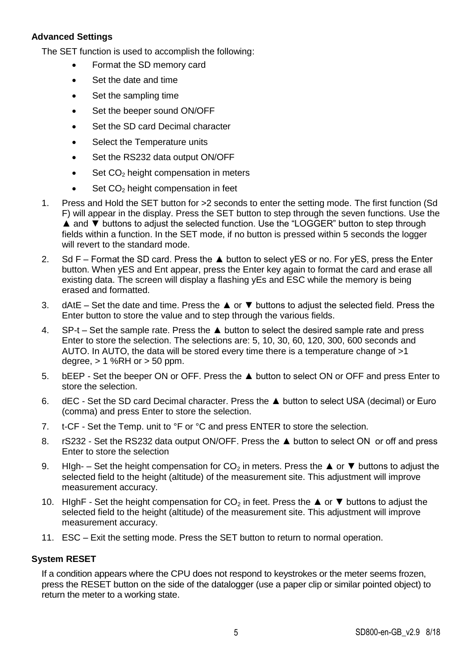#### **Advanced Settings**

The SET function is used to accomplish the following:

- Format the SD memory card
- Set the date and time
- Set the sampling time
- Set the beeper sound ON/OFF
- Set the SD card Decimal character
- Select the Temperature units
- Set the RS232 data output ON/OFF
- $\bullet$  Set CO<sub>2</sub> height compensation in meters
- $\bullet$  Set CO<sub>2</sub> height compensation in feet
- 1. Press and Hold the SET button for >2 seconds to enter the setting mode. The first function (Sd F) will appear in the display. Press the SET button to step through the seven functions. Use the ▲ and ▼ buttons to adjust the selected function. Use the "LOGGER" button to step through fields within a function. In the SET mode, if no button is pressed within 5 seconds the logger will revert to the standard mode.
- 2. Sd F Format the SD card. Press the ▲ button to select yES or no. For yES, press the Enter button. When yES and Ent appear, press the Enter key again to format the card and erase all existing data. The screen will display a flashing yEs and ESC while the memory is being erased and formatted.
- 3. dAtE Set the date and time. Press the ▲ or ▼ buttons to adjust the selected field. Press the Enter button to store the value and to step through the various fields.
- 4. SP-t Set the sample rate. Press the ▲ button to select the desired sample rate and press Enter to store the selection. The selections are: 5, 10, 30, 60, 120, 300, 600 seconds and AUTO. In AUTO, the data will be stored every time there is a temperature change of >1 degree,  $> 1$  %RH or  $> 50$  ppm.
- 5. bEEP Set the beeper ON or OFF. Press the ▲ button to select ON or OFF and press Enter to store the selection.
- 6. dEC Set the SD card Decimal character. Press the ▲ button to select USA (decimal) or Euro (comma) and press Enter to store the selection.
- 7. t-CF Set the Temp. unit to °F or °C and press ENTER to store the selection.
- 8. rS232 Set the RS232 data output ON/OFF. Press the ▲ button to select ON or off and press Enter to store the selection
- 9. HIgh- Set the height compensation for  $CO<sub>2</sub>$  in meters. Press the ▲ or ▼ buttons to adjust the selected field to the height (altitude) of the measurement site. This adjustment will improve measurement accuracy.
- 10. HIghF Set the height compensation for  $CO<sub>2</sub>$  in feet. Press the ▲ or ▼ buttons to adjust the selected field to the height (altitude) of the measurement site. This adjustment will improve measurement accuracy.
- 11. ESC Exit the setting mode. Press the SET button to return to normal operation.

#### **System RESET**

If a condition appears where the CPU does not respond to keystrokes or the meter seems frozen, press the RESET button on the side of the datalogger (use a paper clip or similar pointed object) to .<br>return the meter to a working state.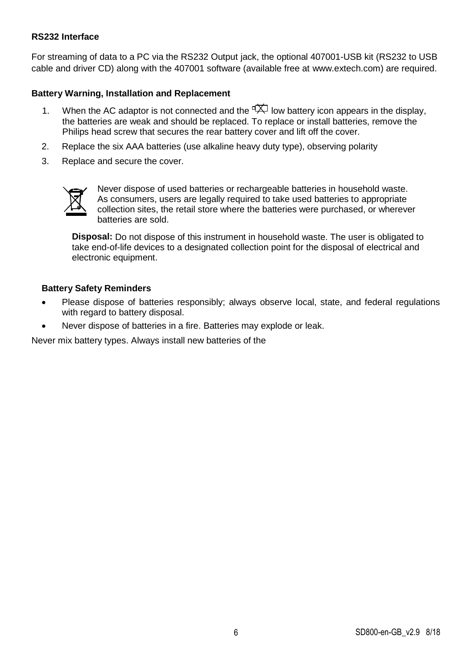#### **RS232 Interface**

For streaming of data to a PC via the RS232 Output jack, the optional 407001-USB kit (RS232 to USB cable and driver CD) along with the 407001 software (available free at www.extech.com) are required.

#### **Battery Warning, Installation and Replacement**

- 1. When the AC adaptor is not connected and the  $\overrightarrow{TX}$  low battery icon appears in the display. the batteries are weak and should be replaced. To replace or install batteries, remove the Philips head screw that secures the rear battery cover and lift off the cover.
- 2. Replace the six AAA batteries (use alkaline heavy duty type), observing polarity
- 3. Replace and secure the cover.



Never dispose of used batteries or rechargeable batteries in household waste. As consumers, users are legally required to take used batteries to appropriate collection sites, the retail store where the batteries were purchased, or wherever batteries are sold.

**Disposal:** Do not dispose of this instrument in household waste. The user is obligated to take end-of-life devices to a designated collection point for the disposal of electrical and electronic equipment.

#### **Battery Safety Reminders**

- Please dispose of batteries responsibly; always observe local, state, and federal regulations with regard to battery disposal.
- Never dispose of batteries in a fire. Batteries may explode or leak.

Never mix battery types. Always install new batteries of the